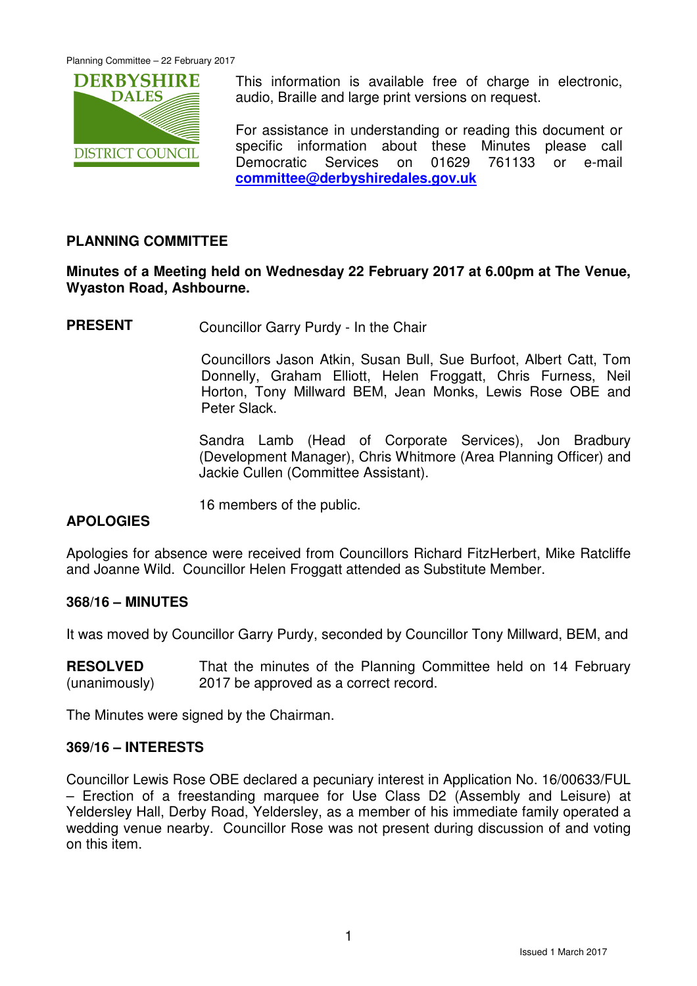

This information is available free of charge in electronic, audio, Braille and large print versions on request.

For assistance in understanding or reading this document or specific information about these Minutes please call Democratic Services on 01629 761133 or e-mail **committee@derbyshiredales.gov.uk**

# **PLANNING COMMITTEE**

### **Minutes of a Meeting held on Wednesday 22 February 2017 at 6.00pm at The Venue, Wyaston Road, Ashbourne.**

**PRESENT** Councillor Garry Purdy - In the Chair

 Councillors Jason Atkin, Susan Bull, Sue Burfoot, Albert Catt, Tom Donnelly, Graham Elliott, Helen Froggatt, Chris Furness, Neil Horton, Tony Millward BEM, Jean Monks, Lewis Rose OBE and Peter Slack.

Sandra Lamb (Head of Corporate Services), Jon Bradbury (Development Manager), Chris Whitmore (Area Planning Officer) and Jackie Cullen (Committee Assistant).

16 members of the public.

# **APOLOGIES**

Apologies for absence were received from Councillors Richard FitzHerbert, Mike Ratcliffe and Joanne Wild. Councillor Helen Froggatt attended as Substitute Member.

### **368/16 – MINUTES**

It was moved by Councillor Garry Purdy, seconded by Councillor Tony Millward, BEM, and

**RESOLVED** (unanimously) That the minutes of the Planning Committee held on 14 February 2017 be approved as a correct record.

The Minutes were signed by the Chairman.

#### **369/16 – INTERESTS**

Councillor Lewis Rose OBE declared a pecuniary interest in Application No. 16/00633/FUL – Erection of a freestanding marquee for Use Class D2 (Assembly and Leisure) at Yeldersley Hall, Derby Road, Yeldersley, as a member of his immediate family operated a wedding venue nearby. Councillor Rose was not present during discussion of and voting on this item.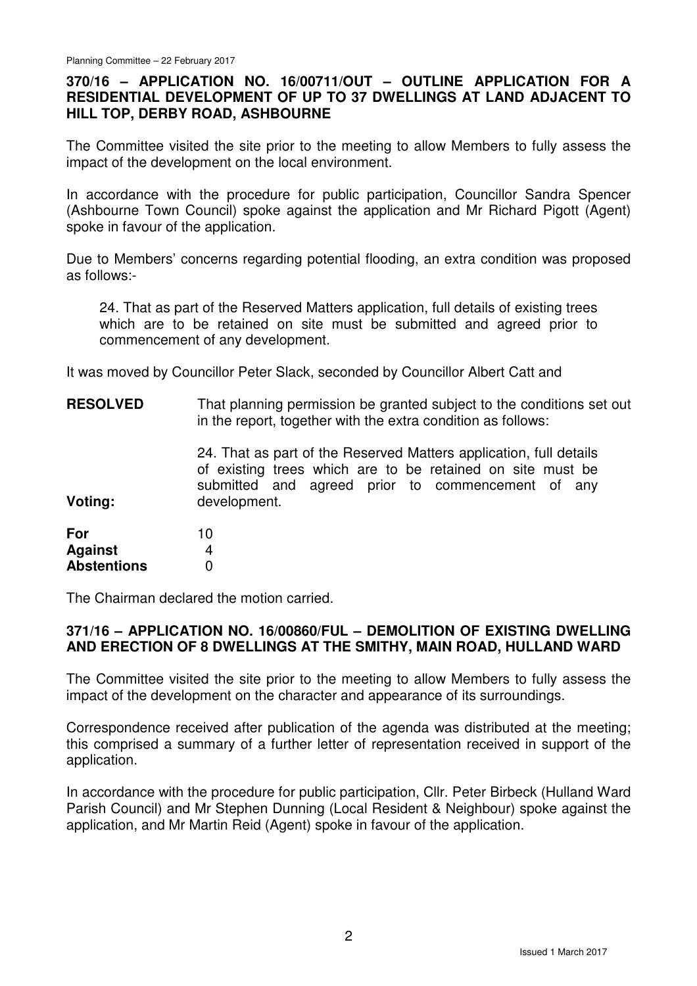### **370/16 – APPLICATION NO. 16/00711/OUT – OUTLINE APPLICATION FOR A RESIDENTIAL DEVELOPMENT OF UP TO 37 DWELLINGS AT LAND ADJACENT TO HILL TOP, DERBY ROAD, ASHBOURNE**

The Committee visited the site prior to the meeting to allow Members to fully assess the impact of the development on the local environment.

In accordance with the procedure for public participation, Councillor Sandra Spencer (Ashbourne Town Council) spoke against the application and Mr Richard Pigott (Agent) spoke in favour of the application.

Due to Members' concerns regarding potential flooding, an extra condition was proposed as follows:-

24. That as part of the Reserved Matters application, full details of existing trees which are to be retained on site must be submitted and agreed prior to commencement of any development.

It was moved by Councillor Peter Slack, seconded by Councillor Albert Catt and

| <b>RESOLVED</b>                             | That planning permission be granted subject to the conditions set out<br>in the report, together with the extra condition as follows:                                                                 |
|---------------------------------------------|-------------------------------------------------------------------------------------------------------------------------------------------------------------------------------------------------------|
| Voting:                                     | 24. That as part of the Reserved Matters application, full details<br>of existing trees which are to be retained on site must be<br>submitted and agreed prior to commencement of any<br>development. |
| For<br><b>Against</b><br><b>Abstentions</b> | 10<br>4<br>0                                                                                                                                                                                          |

The Chairman declared the motion carried.

### **371/16 – APPLICATION NO. 16/00860/FUL – DEMOLITION OF EXISTING DWELLING AND ERECTION OF 8 DWELLINGS AT THE SMITHY, MAIN ROAD, HULLAND WARD**

The Committee visited the site prior to the meeting to allow Members to fully assess the impact of the development on the character and appearance of its surroundings.

Correspondence received after publication of the agenda was distributed at the meeting; this comprised a summary of a further letter of representation received in support of the application.

In accordance with the procedure for public participation, Cllr. Peter Birbeck (Hulland Ward Parish Council) and Mr Stephen Dunning (Local Resident & Neighbour) spoke against the application, and Mr Martin Reid (Agent) spoke in favour of the application.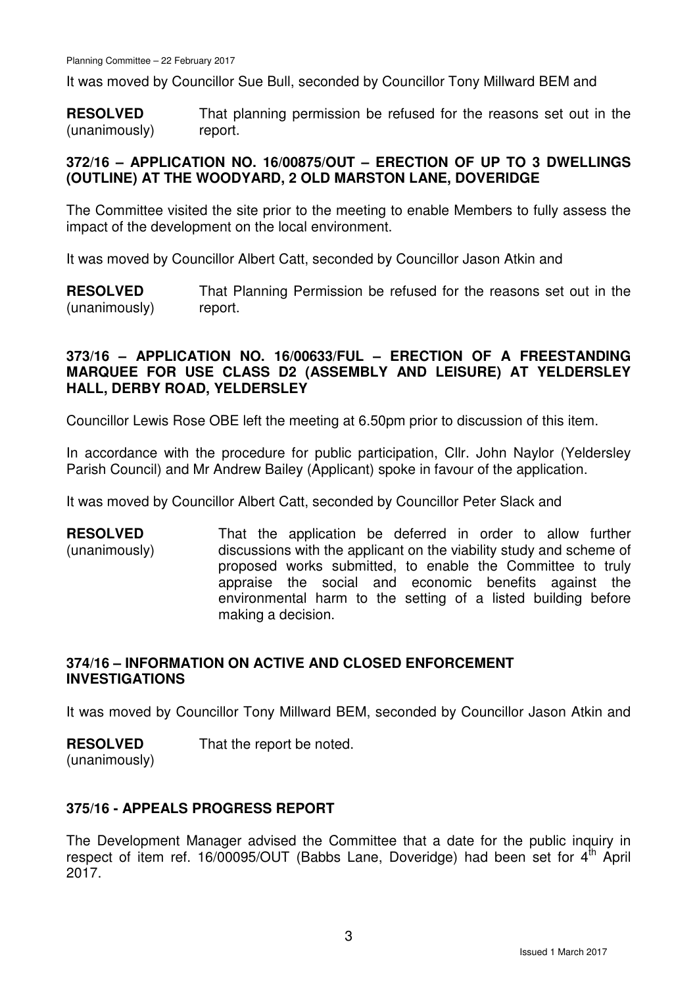It was moved by Councillor Sue Bull, seconded by Councillor Tony Millward BEM and

**RESOLVED** (unanimously) That planning permission be refused for the reasons set out in the report.

### **372/16 – APPLICATION NO. 16/00875/OUT – ERECTION OF UP TO 3 DWELLINGS (OUTLINE) AT THE WOODYARD, 2 OLD MARSTON LANE, DOVERIDGE**

The Committee visited the site prior to the meeting to enable Members to fully assess the impact of the development on the local environment.

It was moved by Councillor Albert Catt, seconded by Councillor Jason Atkin and

**RESOLVED** (unanimously) That Planning Permission be refused for the reasons set out in the report.

### **373/16 – APPLICATION NO. 16/00633/FUL – ERECTION OF A FREESTANDING MARQUEE FOR USE CLASS D2 (ASSEMBLY AND LEISURE) AT YELDERSLEY HALL, DERBY ROAD, YELDERSLEY**

Councillor Lewis Rose OBE left the meeting at 6.50pm prior to discussion of this item.

In accordance with the procedure for public participation, Cllr. John Naylor (Yeldersley Parish Council) and Mr Andrew Bailey (Applicant) spoke in favour of the application.

It was moved by Councillor Albert Catt, seconded by Councillor Peter Slack and

**RESOLVED** (unanimously) That the application be deferred in order to allow further discussions with the applicant on the viability study and scheme of proposed works submitted, to enable the Committee to truly appraise the social and economic benefits against the environmental harm to the setting of a listed building before making a decision.

### **374/16 – INFORMATION ON ACTIVE AND CLOSED ENFORCEMENT INVESTIGATIONS**

It was moved by Councillor Tony Millward BEM, seconded by Councillor Jason Atkin and

#### **RESOLVED**

That the report be noted.

(unanimously)

# **375/16 - APPEALS PROGRESS REPORT**

The Development Manager advised the Committee that a date for the public inquiry in respect of item ref. 16/00095/OUT (Babbs Lane, Doveridge) had been set for  $4<sup>th</sup>$  April 2017.